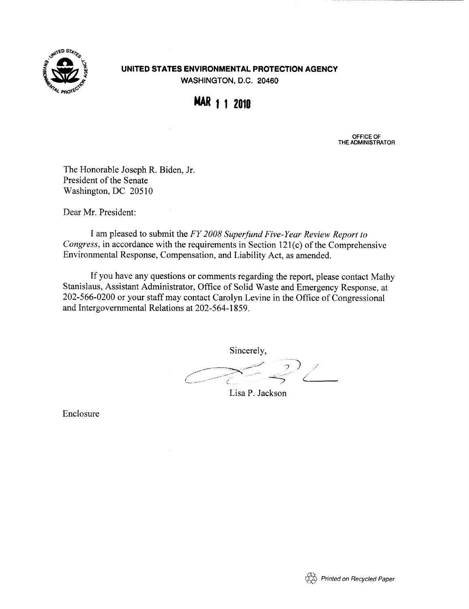

# UNITED STATES ENVIRONMENTAL PROTECTION AGENCY WASHINGTON, D.C. 20460

WAR 1 1 2010

OFFICE OF THE ADMINISTRATOR

The Honorable Joseph R. Biden, Jr. President of the Senate Washington, DC 20510

Dear Mr. President:

I am pleased to submit the FY 2008 Superfund Five-Year Review Report to Congress, in accordance with the requirements in Section 121(c) of the Comprehensive Environmental Response, Compensation, and Liability Act, as amended.

If you have any questions or comments regarding the report, please contact Mathy Stanislaus, Assistant Administrator, Office of Solid Waste and Emergency Response, at 202-566-0200 or your staff may contact Carolyn Levine in the Office of Congressional and Intergovernmental Relations at 202-564-1859 .

Sincerely,  $\overline{2}$ 

Lisa P. Jackson

Enclosure

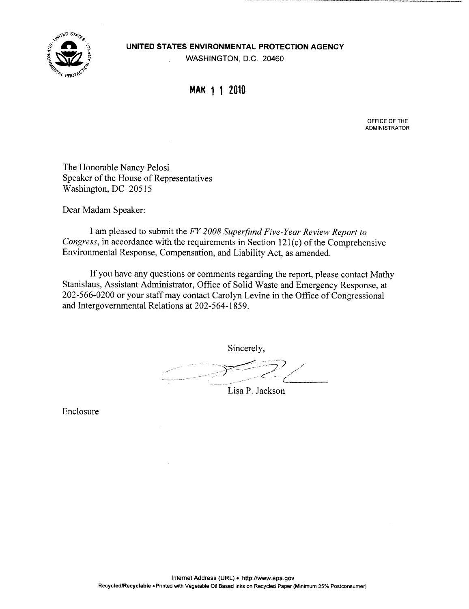

### UNITED STATES ENVIRONMENTAL PROTECTION AGENCY

WASHINGTON, D.C. 20460

# MAK 1 1 2010

OFFICE OF THE ADMINISTRATOR

The Honorable Nancy Pelosi Speaker of the House of Representatives Washington, DC 20515

Dear Madam Speaker:

I am pleased to submit the FY 2008 Superfund Five-Year Review Report to Congress, in accordance with the requirements in Section 121(c) of the Comprehensive Environmental Response, Compensation, and Liability Act, as amended.

If you have any questions or comments regarding the report, please contact Mathy Stanislaus, Assistant Administrator, Office of Solid Waste and Emergency Response, at 202-566-0200 or your staff may contact Carolyn Levine in the Office of Congressional and Intergovernmental Relations at 202-564-1859 .

Sincerely,

Lisa P. Jackson

Enclosure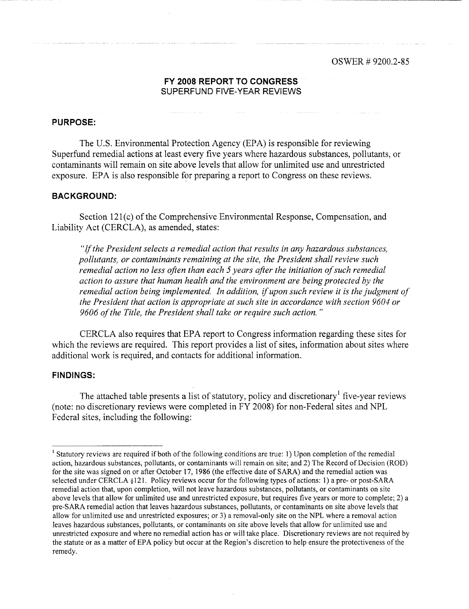## FY 2008 REPORT TO CONGRESS SUPERFUND FIVE-YEAR REVIEWS

## PURPOSE:

The U.S. Environmental Protection Agency (EPA) is responsible for reviewing Superfund remedial actions at least every five years where hazardous substances, pollutants, or contaminants will remain on site above levels that allow for unlimited use and unrestricted exposure. EPA is also responsible for preparing a report to Congress on these reviews.

## **BACKGROUND:**

Section 121(c) of the Comprehensive Environmental Response, Compensation, and Liability Act (CERCLA), as amended, states :

"If the President selects a remedial action that results in any hazardous substances, pollutants, or contaminants remaining at the site, the President shall review such remedial action no less often than each 5 years after the initiation of such remedial action to assure that human health and the environment are being protected by the remedial action being implemented. In addition, if upon such review it is the judgment of the President that action is appropriate at such site in accordance with section 9604 or 9606 of the Title, the President shall take or require such action."

CERCLA also requires that EPA report to Congress information regarding these sites for which the reviews are required. This report provides a list of sites, information about sites where additional work is required, and contacts for additional information.

### **FINDINGS:**

The attached table presents a list of statutory, policy and discretionary' five-year reviews (note: no discretionary reviews were completed in FY 2008) for non-Federal sites and NPL Federal sites, including the following:

<sup>&</sup>lt;sup>1</sup> Statutory reviews are required if both of the following conditions are true: 1) Upon completion of the remedial action, hazardous substances, pollutants, or contaminants will remain on site ; and 2) The Record of Decision (ROD) for the site was signed on or after October 17, 1986 (the effective date of SARA) and the remedial action was selected under CERCLA §121 . Policy reviews occur for the following types of actions: 1) a pre- or post-SARA remedial action that, upon completion, will not leave hazardous substances, pollutants, or contaminants on site above levels that allow for unlimited use and unrestricted exposure, but requires five years or more to complete; 2) a pre-SARA remedial action that leaves hazardous substances, pollutants, or contaminants on site above levels that allow for unlimited use and unrestricted exposures; or 3) a removal-only site on the NPL where a removal action leaves hazardous substances, pollutants, or contaminants on site above levels that allow for unlimited use and unrestricted exposure and where no remedial action has or will take place. Discretionary reviews are not required by the statute or as a matter of EPA policy but occur at the Region's discretion to help ensure the protectiveness of the remedy.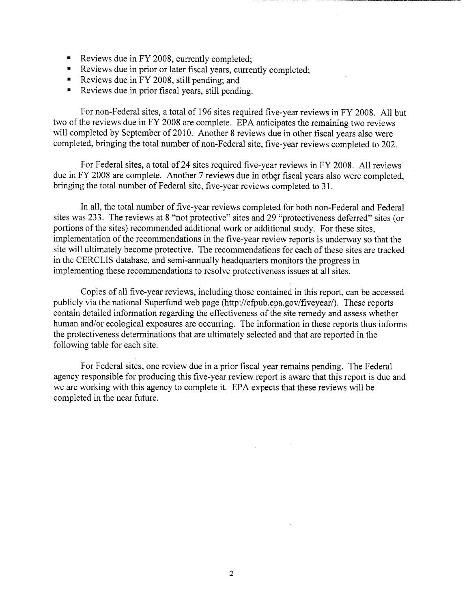- 
- Reviews due in FY 2008, currently completed;<br>Reviews due in prior or later fiscal years, currently completed;
- Reviews due in FY 2008, still pending; and
- Reviews due in prior fiscal years, still pending.

For non-Federal sites, a total of 196 sites required five-year reviews in FY 2008. All but two of the reviews due in FY 2008 are complete. EPA anticipates the remaining two reviews will completed by September of 2010. Another 8 reviews due in other fiscal years also were completed, bringing the total number of non-Federal site, five-year reviews completed to 202 .

For Federal sites, a total of 24 sites required five-year reviews in FY 2008. All reviews due in FY 2008 are complete. Another 7 reviews due in other fiscal years also were completed, bringing the total number of Federal site, five-year reviews completed to 31 .

In all, the total number of five-year reviews completed for both non-Federal and Federal sites was 233 . The reviews at 8 "not protective" sites and 29 "protectiveness deferred" sites (or portions of the sites) recommended additional work or additional study. For these sites, implementation of the recommendations in the five-year review reports is underway so that the site will ultimately become protective. The recommendations for each of these sites are tracked in the CERCLIS database, and semi-annually headquarters monitors the progress in implementing these recommendations to resolve protectiveness issues at all sites.

Copies of all five-year reviews, including those contained in this report, can be accessed publicly via the national Superfund web page (http://cfpub .epa.gov/fiveyear/). These reports contain detailed information regarding the effectiveness of the site remedy and assess whether human and/or ecological exposures are occurring. The information in these reports thus informs the protectiveness determinations that are ultimately selected and that are reported in the following table for each site.

For Federal sites, one review due in a prior fiscal year remains pending. The Federal agency responsible for producing this five-year review report is aware that this report is due and we are working with this agency to complete it. EPA expects that these reviews will be completed in the near future.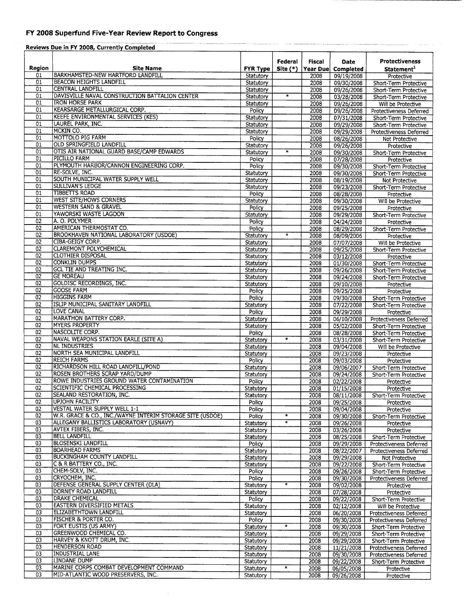## FY 2008 Superfund Five-Year Review Report to Congress

| Reviews Due in FY 2008, Currently Completed |                                                                                                      |                        |                        |               |                          |                                                  |  |
|---------------------------------------------|------------------------------------------------------------------------------------------------------|------------------------|------------------------|---------------|--------------------------|--------------------------------------------------|--|
|                                             |                                                                                                      |                        | Federal                | <b>Fiscal</b> | Date                     | <b>Protectiveness</b>                            |  |
| <b>Region</b>                               | <b>Site Name</b>                                                                                     | <b>FYR Type</b>        | $Site (*)$             | Year Due      | Completed                | Statement <sup>1</sup>                           |  |
| 01                                          | <b>BARKHAMSTED-NEW HARTFORD LANDFILL</b>                                                             | Statutory              |                        | 2008          | 09/19/2008               | Protective                                       |  |
| 01                                          | <b>BEACON HEIGHTS LANDFILL</b>                                                                       | Statutory              |                        | 2008          | 09/30/2008               | Short-Term Protective                            |  |
| 01<br>01                                    | CENTRAL LANDFILL<br>DAVISVILLE NAVAL CONSTRUCTION BATTALION CENTER                                   | Statutory              | $\ast$                 | 2008          | 09/26/2008               | Short-Term Protective                            |  |
| 01                                          | <b>IRON HORSE PARK</b>                                                                               | Statutory<br>Statutory |                        | 2008<br>2008  | 03/28/2008<br>09/26/2008 | Short-Term Protective<br>Will be Protective      |  |
| $\overline{01}$                             | KEARSARGE METALLURGICAL CORP.<br>$\cdot$                                                             | Policy.                |                        | 2008          | 09/26/2008               | Protectiveness Deferred                          |  |
| $\overline{01}$                             | <b>KEEFE ENVIRONMENTAL SERVICES (KES)</b>                                                            | Statutory              |                        | 2008          | 07/31/2008               | Short-Term Protective                            |  |
| 01                                          | LAUREL PARK, INC.                                                                                    | Statutory              |                        | 2008          | 09/29/2008               | Short-Term Protective                            |  |
| 01                                          | MCKIN CO.                                                                                            | Statutory              |                        | 2008          | 09/29/2008               | Protectiveness Deferred                          |  |
| 01<br>01                                    | MOTTOLO PIG FARM<br>OLD SPRINGFIELD LANDFILL                                                         | Policy                 |                        | 2008          | 08/26/2008               | Not Protective                                   |  |
| 01                                          | OTIS AIR NATIONAL GUARD BASE/CAMP EDWARDS                                                            | Statutory<br>Statutory | $\overline{\ast}$      | 2008<br>2008  | 09/26/2008               | Protective                                       |  |
| 01                                          | PICILLO FARM                                                                                         | Policy                 |                        | 2008          | 09/30/2008<br>07/28/2008 | Short-Term Protective<br>Protective              |  |
| $\overline{01}$                             | PLYMOUTH HARBOR/CANNON ENGINEERING CORP.                                                             | Policy                 |                        | 2008          | 09/30/2008               | Short-Term Protective                            |  |
| 01                                          | RE-SOLVE, INC.                                                                                       | Statutory              |                        | 2008          | 09/30/2008               | Short-Term Protective                            |  |
| 01                                          | SOUTH MUNICIPAL WATER SUPPLY WELL                                                                    | Statutory              |                        | 2008          | 08/19/2008               | Not Protective                                   |  |
| 01                                          | <b>SULLIVAN'S LEDGE</b>                                                                              | Statutory              |                        | 2008          | 09/23/2008               | Short-Term Protective                            |  |
| 01<br>01                                    | <b>TIBBETTS ROAD</b><br><b>WEST SITE/HOWS CORNERS</b>                                                | Policy                 |                        | 2008          | 08/28/2008               | Protective                                       |  |
| 01                                          | <b>WESTERN SAND &amp; GRAVEL</b>                                                                     | Statutory<br>Policy    |                        | 2008<br>2008  | 09/30/2008<br>09/25/2008 | Will be Protective<br>Protective                 |  |
| 01                                          | YAWORSKI WASTE LAGOON                                                                                | Statutory              |                        | 2008          | 09/29/2008               | Short-Term Protective                            |  |
| 02                                          | A. O. POLYMER                                                                                        | Policy                 |                        | 2008          | 04/24/2008               | Protective                                       |  |
| $\overline{02}$                             | AMERICAN THERMOSTAT CO.                                                                              | Policy                 |                        | 2008          | 08/29/2008               | Short-Term Protective                            |  |
| 02                                          | <b>BROOKHAVEN NATIONAL LABORATORY (USDOE)</b>                                                        | Statutory              | $\ddot{\ast}$          | 2008          | 08/09/2006               | Protective                                       |  |
| 02                                          | <b>CIBA-GEIGY CORP.</b>                                                                              | Statutory              |                        | 2008          | 07/07/2008               | Will be Protective                               |  |
| 02<br>$\overline{02}$                       | <b>CLAREMONT POLYCHEMICAL</b><br><b>CLOTHIER DISPOSAL</b>                                            | Statutory              |                        | 2008          | 09/25/2008               | Short-Term Protective                            |  |
| 02                                          | <b>CONKLIN DUMPS</b>                                                                                 | Statutory<br>Statutory |                        | 2008<br>2008  | 03/12/2008               | Protective                                       |  |
| 02                                          | <b>GCL TIE AND TREATING INC.</b>                                                                     | Statutory              |                        | 2008          | 01/30/2008<br>09/26/2008 | Short-Term Protective<br>Short-Term Protective   |  |
| 02                                          | <b>GE MOREAU</b>                                                                                     | Statutory              |                        | 2008          | 09/24/2008               | Short-Term Protective                            |  |
| 02                                          | <b>GOLDISC RECORDINGS, INC.</b>                                                                      | Statutory              |                        | 2008          | 09/10/2008               | Protective                                       |  |
| 02                                          | <b>GOOSE FARM</b>                                                                                    | Policy                 |                        | 2008          | 09/25/2008               | Protective                                       |  |
| $\overline{02}$                             | <b>HIGGINS FARM</b>                                                                                  | Policy                 |                        | 2008          | 09/30/2008               | Short-Term Protective                            |  |
| 02                                          | ISLIP MUNICIPAL SANITARY LANDFILL                                                                    | Statutory              |                        | 2008          | 07/22/2008               | Short-Term Protective                            |  |
| 02<br>02                                    | LOVE CANAL<br>MARATHON BATTERY CORP.                                                                 | Policy<br>Statutory    |                        | 2008<br>2008  | 09/29/2008               | Protective                                       |  |
| 02                                          | <b>MYERS PROPERTY</b>                                                                                | Statutory              |                        | 2008          | 06/10/2008<br>05/02/2008 | Protectiveness Deferred<br>Short-Term Protective |  |
| 02                                          | NASCOLITE CORP.                                                                                      | Policy                 |                        | 2008          | 08/28/2008               | Short-Term Protective                            |  |
| 02                                          | NAVAL WEAPONS STATION EARLE (SITE A)                                                                 | Statutory              | $\ast$                 | 2008          | 03/31/2008               | Short-Term Protective                            |  |
| 02                                          | <b>NL INDUSTRIES</b>                                                                                 | Statutory              |                        | 2008          | 09/04/2008               | Will be Protective                               |  |
| 02                                          | NORTH SEA MUNICIPAL LANDFILL                                                                         | Statutory              |                        | 2008          | 09/23/2008               | Protective                                       |  |
| 02<br>02                                    | <b>REICH FARMS</b><br>RICHARDSON HILL ROAD LANDFILL/POND                                             | Policy                 |                        | 2008          | 09/03/2008               | Protective                                       |  |
| 02                                          | ROSEN BROTHERS SCRAP YARD/DUMP                                                                       | Statutory<br>Statutory |                        | 2008<br>2008  | 09/06/2007<br>09/24/2008 | Short-Term Protective<br>Short-Term Protective   |  |
| $\overline{02}$                             | ROWE INDUSTRIES GROUND WATER CONTAMINATION                                                           | Policy                 |                        | 2008          | 02/22/2008               | Protective                                       |  |
| $\overline{02}$                             | SCIENTIFIC CHEMICAL PROCESSING                                                                       | Statutory              |                        | 2008          | 01/15/2008               | Protective                                       |  |
| 02                                          | SEALAND RESTORATION, INC.                                                                            | Statutory              |                        | 2008          | 08/11/2008               | Short-Term Protective                            |  |
| 02                                          | <b>UPJOHN FACILITY</b>                                                                               | Policy                 |                        | 2008          | 09/25/2008               | Protective                                       |  |
| 02                                          | <b>VESTAL WATER SUPPLY WELL 1-1</b>                                                                  | Policy                 |                        | 2008          | 09/04/2008               | Protective                                       |  |
| 02<br>03                                    | W.R. GRACE & CO., INC./WAYNE INTERIM STORAGE SITE (USDOE)<br>ALLEGANY BALLISTICS LABORATORY (USNAVY) | Policy                 | *<br>$\overline{\ast}$ | 2008          | 09/30/2008               | Short-Term Protective                            |  |
| 03                                          | <b>AVTEX FIBERS, INC.</b>                                                                            | Statutory<br>Statutory |                        | 2008<br>2008  | 09/26/2008<br>03/26/2008 | Protective<br>Protective                         |  |
| 03                                          | <b>BELL LANDFILL</b>                                                                                 | Statutory              |                        | 2008          | 08/25/2008               | Short-Term Protective                            |  |
| 03                                          | <b>BLOSENSKI LANDFILL</b>                                                                            | Policy                 |                        | 2008          | 09/29/2008               | Protectiveness Deferred                          |  |
| 03                                          | <b>BOARHEAD FARMS</b>                                                                                | Statutory              |                        | 2008          | 08/22/2007               | Protectiveness Deferred                          |  |
| 03                                          | <b>BUCKINGHAM COUNTY LANDFILL</b>                                                                    | Statutory              |                        | 2008          | 09/29/2008               | Not Protective                                   |  |
| 03                                          | C & R BATTERY CO., INC.                                                                              | Statutory              |                        | 2008          | 09/22/2008               | Short-Term Protective                            |  |
| 03<br>03                                    | CHEM-SOLV, INC.<br>CRYOCHEM, INC.                                                                    | Policy<br>Policy       |                        | 2008<br>2008  | 09/26/2008<br>09/30/2008 | Short-Term Protective                            |  |
| 03                                          | DEFENSE GENERAL SUPPLY CENTER (DLA)                                                                  | Statutory              | $\ast$                 | 2008          | 09/02/2008               | Protectiveness Deferred<br>Protective            |  |
| 03                                          | DORNEY ROAD LANDFILL                                                                                 | Statutory              |                        | 2008          | 07/28/2008               | Protective                                       |  |
| 03                                          | <b>DRAKE CHEMICAL</b>                                                                                | Policy                 |                        | 2008          | 09/22/2008               | Short-Term Protective                            |  |
| 03                                          | EASTERN DIVERSIFIED METALS                                                                           | Statutory              |                        | 2008          | 02/12/2008               | Will be Protective                               |  |
| 03                                          | ELIZABETHTOWN LANDFILL                                                                               | Statutory              |                        | 2008          | 06/20/2008               | Protectiveness Deferred                          |  |
| 03                                          | FISCHER & PORTER CO.                                                                                 | Policy                 |                        | 2008          | 09/30/2008               | Protectiveness Deferred                          |  |
| 03<br>03                                    | FORT EUSTIS (US ARMY)<br>GREENWOOD CHEMICAL CO.                                                      | Statutory              | $\ast$                 | 2008          | 09/30/2008               | Short-Term Protective                            |  |
| 03                                          | HARVEY & KNOTT DRUM, INC.                                                                            | Statutory<br>Statutory |                        | 2008<br>2008  | 09/29/2008<br>09/29/2008 | Short-Term Protective<br>Short-Term Protective   |  |
| 03                                          | <b>HENDERSON ROAD</b>                                                                                | Statutory              |                        | 2008          | 11/21/2008               | Protectiveness Deferred                          |  |
| 03                                          | <b>INDUSTRIAL LANE</b>                                                                               | Statutory              |                        | 2008          | 09/30/2008               | Protectiveness Deferred                          |  |
| 03                                          | LINDANE DUMP                                                                                         | Statutory              |                        | 2008          | 09/22/2008               | Short-Term Protective                            |  |
| 03                                          | MARINE CORPS COMBAT DEVELOPMENT COMMAND                                                              | Statutory              | $\ast$                 | 2008          | 06/05/2008               | Protective                                       |  |
| 03                                          | MID-ATLANTIC WOOD PRESERVERS, INC.                                                                   | Statutory              |                        | 2008          | 09/26/2008               | Protective                                       |  |

 $\sim$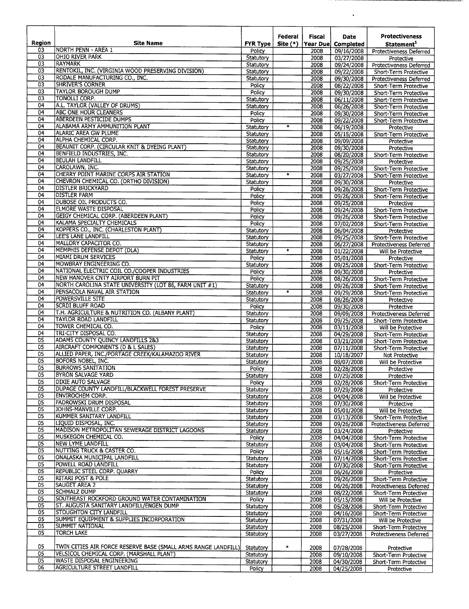| Region                | <b>Site Name</b>                                                                          | <b>FYR Type</b>        | Federal<br>Site $(*)$ | <b>Fiscal</b><br>Year Due | Date<br>Completed        | <b>Protectiveness</b><br>Statement <sup>1</sup>  |
|-----------------------|-------------------------------------------------------------------------------------------|------------------------|-----------------------|---------------------------|--------------------------|--------------------------------------------------|
| 03                    | NORTH PENN - AREA 1                                                                       | Policy                 |                       | 2008                      | 09/16/2008               | Protectiveness Deferred                          |
| 03                    | OHIO RIVER PARK                                                                           | Statutory              |                       | 2008                      | 03/27/2008               | Protective                                       |
| 03<br>03              | <b>RAYMARK</b><br>RENTOKIL, INC. (VIRGINIA WOOD PRESERVING DIVISION)                      | Statutory              |                       | 2008                      | 09/24/2008               | <b>Protectiveness Deferred</b>                   |
| $\overline{03}$       | RODALE MANUFACTURING CO., INC.                                                            | Statutory<br>Statutory |                       | 2008<br>2008              | 09/22/2008<br>09/30/2008 | Short-Term Protective<br>Protectiveness Deferred |
| 03                    | <b>SHRIVER'S CORNER</b>                                                                   | Policy                 |                       | 2008                      | 08/22/2008               | Short-Term Protective                            |
| $\overline{03}$       | <b>TAYLOR BOROUGH DUMP</b>                                                                | Policy                 |                       | 2008                      | 09/30/2008               | Short-Term Protective                            |
| 03                    | <b>TONOLLI CORP.</b>                                                                      | Statutory              |                       | 2008                      | 06/11/2008               | Short-Term Protective                            |
| 04<br>04              | A.L. TAYLOR (VALLEY OF DRUMS)<br><b>ABC ONE HOUR CLEANERS</b>                             | Statutory              |                       | 2008                      | 06/26/2008               | Short-Term Protective                            |
| 04                    | ABERDEEN PESTICIDE DUMPS                                                                  | Policy<br>Policy       |                       | 2008<br>2008              | 09/30/2008<br>09/22/2008 | Short-Term Protective<br>Short-Term Protective   |
| 04                    | ALABAMA ARMY AMMUNITION PLANT                                                             | Statutory              | $\overline{\ast}$     | 2008                      | 06/19/2008               | Protective                                       |
| 04                    | ALARIC AREA GW PLUME                                                                      | Statutory              |                       | 2008                      | 05/15/2008               | Short-Term Protective                            |
| 04<br>04              | ALPHA CHEMICAL CORP.                                                                      | Statutory              |                       | 2008                      | 09/09/2008               | Protective                                       |
| 04                    | BEAUNIT CORP. (CIRCULAR KNIT & DYEING PLANT)<br>BENFIELD INDUSTRIES, INC.                 | Statutory<br>Statutory |                       | 2008<br>2008              | 09/30/2008<br>08/20/2008 | Protective                                       |
| 04                    | <b>BEULAH LANDFILL</b>                                                                    | Statutory              |                       | 2008                      | 09/25/2008               | Short-Term Protective<br>Protective              |
| 04                    | CAROLAWN, INC.                                                                            | Statutory              |                       | 2008                      | 09/25/2008               | Short-Term Protective                            |
| 04                    | CHERRY POINT MARINE CORPS AIR STATION                                                     | Statutory              | $\overline{\ast}$ .   | 2008                      | 03/27/2008               | Short-Term Protective                            |
| 04<br>04              | CHEVRON CHEMICAL CO. (ORTHO DIVISION)<br><b>DISTLER BRICKYARD</b>                         | Statutory              |                       | 2008                      | 09/30/2008               | Protective                                       |
| 04                    | <b>DISTLER FARM</b>                                                                       | Policy<br>Policy       |                       | 2008<br>2008              | 09/26/2008<br>09/26/2008 | Short-Term Protective<br>Short-Term Protective   |
| 04                    | <b>DUBOSE OIL PRODUCTS CO.</b>                                                            | Policy                 |                       | 2008                      | 09/25/2008               | Protective                                       |
| 04                    | <b>ELMORE WASTE DISPOSAL</b>                                                              | Policy                 |                       | 2008                      | 09/24/2008               | Short-Term Protective                            |
| 04                    | <b>GEIGY CHEMICAL CORP. (ABERDEEN PLANT)</b>                                              | Policy                 |                       | 2008                      | 09/26/2008               | Short-Term Protective                            |
| 04<br>04              | KALAMA SPECIALTY CHEMICALS<br>KOPPERS CO., INC. (CHARLESTON PLANT)                        | Policy                 |                       | 2008                      | 07/02/2008               | Short-Term Protective                            |
| 04                    | LEE'S LANE LANDFILL                                                                       | Statutory<br>Statutory |                       | 2008<br>2008              | 06/04/2008<br>09/25/2008 | Protective<br>Short-Term Protective              |
| 04                    | MALLORY CAPACITOR CO.                                                                     | Statutory              |                       | 2008                      | 06/27/2008               | <b>Protectiveness Deferred</b>                   |
| 04                    | MEMPHIS DEFENSE DEPOT (DLA)                                                               | Statutory              | $\ast$                | 2008                      | 01/22/2008               | Will be Protective                               |
| 04                    | MIAMI DRUM SERVICES                                                                       | Policy                 |                       | 2008                      | 05/01/2008               | Protective                                       |
| 04<br>04              | MOWBRAY ENGINEERING CO.<br>NATIONAL ELECTRIC COIL CO./COOPER INDUSTRIES                   | Statutory              |                       | 2008                      | 09/25/2008               | Short-Term Protective                            |
| 04                    | NEW HANOVER CNTY AIRPORT BURN PIT                                                         | Policy<br>Policy       |                       | 2008<br>2008              | 09/30/2008<br>08/26/2008 | Protective<br>Short-Term Protective              |
| 04                    | NORTH CAROLINA STATE UNIVERSITY (LOT 86, FARM UNIT #1)                                    | Statutory              |                       | 2008                      | 09/26/2008               | Short-Term Protective                            |
| 04                    | PENSACOLA NAVAL AIR STATION                                                               | Statutory              | $\overline{\ast}$     | 2008                      | 09/29/2008               | Short-Term Protective                            |
| 04                    | <b>POWERSVILLE SITE</b>                                                                   | Statutory              |                       | 2008                      | 08/26/2008               | Protective                                       |
| 04<br>04              | <b>SCRDI BLUFF ROAD</b><br>T.H. AGRICULTURE & NUTRITION CO. (ALBANY PLANT)                | Policy<br>Statutory    |                       | 2008                      | 09/30/2008               | Protective                                       |
| 04                    | TAYLOR ROAD LANDFILL                                                                      | Statutory              |                       | 2008<br>2008              | 09/09/2008<br>09/25/2008 | Protectiveness Deferred<br>Short-Term Protective |
| 04                    | TOWER CHEMICAL CO.                                                                        | Policy                 |                       | 2008                      | 03/11/2008               | Will be Protective                               |
| 04                    | TRI-CITY DISPOSAL CO.                                                                     | Statutory              |                       | 2008                      | 04/29/2008               | Short-Term Protective                            |
| 05<br>05              | ADAMS COUNTY QUINCY LANDFILLS 283<br>AIRCRAFT COMPONENTS (D & L SALES)                    | Statutory              |                       | 2008                      | 03/21/2008               | Short-Term Protective                            |
| $\overline{05}$       | ALLIED PAPER, INC./PORTAGE CREEK/KALAMAZOO RIVER                                          | Statutory<br>Statutory |                       | 2008<br>2008              | 07/11/2008<br>10/18/2007 | Short-Term Protective<br><b>Not Protective</b>   |
| 05                    | BOFORS NOBEL, INC.                                                                        | Statutory              |                       | 2008                      | 08/07/2008               | Will be Protective                               |
| 05                    | <b>BURROWS SANITATION</b>                                                                 | Policy                 |                       | 2008                      | 02/28/2008               | Protective                                       |
| 05                    | <b>BYRON SALVAGE YARD</b>                                                                 | Statutory              |                       | 2008                      | 07/29/2008               | Protective                                       |
| $\overline{05}$<br>05 | DIXIE AUTO SALVAGE<br>DUPAGE COUNTY LANDFILL/BLACKWELL FOREST PRESERVE                    | Policy<br>Statutory    |                       | 2008                      | 02/28/2008               | Short-Term Protective                            |
| 05                    | <b>ENVIROCHEM CORP.</b>                                                                   | Statutory              |                       | 2008<br>2008              | 07/29/2008<br>04/04/2008 | Protective<br>Will be Protective                 |
| 05                    | FADROWSKI DRUM DISPOSAL                                                                   | Statutory              |                       | 2008                      | 07/30/2008               | Protective                                       |
| 05                    | JOHNS-MANVILLE CORP.                                                                      | Statutory              |                       | 2008                      | 05/01/2008               | Will be Protective                               |
| 05                    | KUMMER SANITARY LANDFILL<br>LIQUID DISPOSAL, INC.                                         | Statutory              |                       | 2008                      | 03/13/2008               | Short-Term Protective                            |
| 05<br>05              | MADISON METROPOLITAN SEWERAGE DISTRICT LAGOONS                                            | Statutory<br>Statutory |                       | 2008<br>2008              | 09/26/2008<br>03/24/2008 | Protectiveness Deferred<br>Protective            |
| 05                    | MUSKEGON CHEMICAL CO.                                                                     | Policy                 |                       | 2008                      | 04/04/2008               | Short-Term Protective                            |
| 05                    | NEW LYME LANDFILL                                                                         | Statutory              |                       | 2008                      | 03/04/2008               | Short-Term Protective                            |
| 05                    | <b>INUTTING TRUCK &amp; CASTER CO.</b>                                                    | Policy                 |                       | 2008                      | 05/16/2008               | Short-Term Protective                            |
| 05<br>05              | ONALASKA MUNICIPAL LANDFILL<br>POWELL ROAD LANDFILL                                       | Statutory              |                       | 2008                      | 07/14/2008               | Short-Term Protective                            |
| 05                    | REPUBLIC STEEL CORP. QUARRY                                                               | Statutory<br>Policy    |                       | 2008<br>2008              | 07/30/2008<br>06/26/2008 | Short-Term Protective<br>Protective              |
| 05                    | RITARI POST & POLE                                                                        | Statutory              |                       | 2008                      | 09/26/2008               | Short-Term Protective                            |
| 05                    | <b>SAUGET AREA 2</b>                                                                      | Statutory              |                       | 2008                      | 06/26/2008               | Protectiveness Deferred                          |
| 05                    | <b>SCHMALZ DUMP</b>                                                                       | Statutory              |                       | 2008                      | 08/22/2008               | Short-Term Protective                            |
| 05<br>05              | SOUTHEAST ROCKFORD GROUND WATER CONTAMINATION<br>ST. AUGUSTA SANITARY LANDFILL/ENGEN DUMP | Policy<br>Statutory    |                       | 2008<br>2008              | 05/15/2008               | Will be Protective                               |
| 05                    | <b>STOUGHTON CITY LANDFILL</b>                                                            | Statutory              |                       | 2008                      | 05/28/2008<br>04/16/2008 | Short-Term Protective<br>Short-Term Protective   |
| 05                    | SUMMIT EQUIPMENT & SUPPLIES INCORPORATION                                                 | Statutory              |                       | 2008                      | 07/31/2008               | Will be Protective                               |
| 05                    | SUMMIT NATIONAL                                                                           | Statutory              |                       | 2008                      | 08/25/2008               | Short-Term Protective                            |
| 05                    | <b>TORCH LAKE</b>                                                                         | Statutory              |                       | 2008                      | 03/27/2008               | Protectiveness Deferred                          |
| 05                    | TWIN CITTES AIR FORCE RESERVE BASE (SMALL ARMS RANGE LANDFILL)                            | Statutory              | $\ast$                | 2008                      | 07/28/2008               | Protective                                       |
| 05                    | VELSICOL CHEMICAL CORP. (MARSHALL PLANT)                                                  | Statutory              |                       | 2008                      | 09/10/2008               | Short-Term Protective                            |
| 05                    | <b>WASTE DISPOSAL ENGINEERING</b>                                                         | Statutory              |                       | 2008                      | 04/30/2008               | Short-Term Protective                            |
| 06                    | <b>AGRICULTURE STREET LANDFILL</b>                                                        | Policy                 |                       | 2008                      | 04/25/2008               | Protective                                       |

 $\ddot{\phantom{a}}$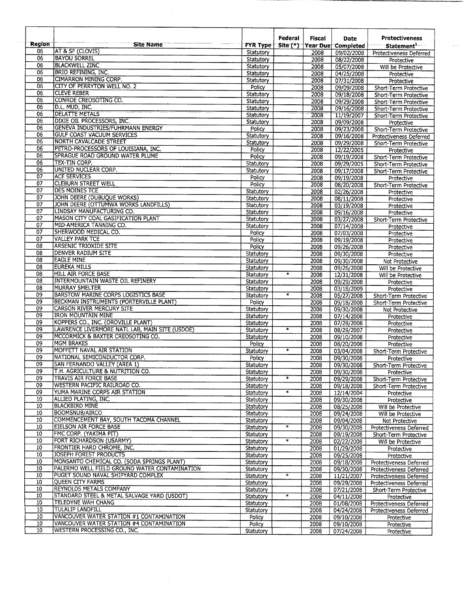| <b>Region</b>         | Site Name                                                     | <b>FYR Type</b>        | Federal                  | Fiscal       | Date<br>Site (*) Year Due Completed | <b>Protectiveness</b><br>Statement <sup>1</sup>  |
|-----------------------|---------------------------------------------------------------|------------------------|--------------------------|--------------|-------------------------------------|--------------------------------------------------|
| 06                    | <b>AT &amp; SF (CLOVIS)</b>                                   | Statutory              |                          | 2008         | 09/02/2008                          | Protectiveness Deferred                          |
| 06                    | <b>BAYOU SORREL</b>                                           | Statutory              |                          | 2008         | 08/22/2008                          | Protective                                       |
| $\overline{06}$       | <b>BLACKWELL ZINC</b>                                         | Statutory              |                          | 2008         | 05/07/2008                          | Will be Protective                               |
| 06                    | BRIO REFINING, INC.                                           | Statutory              |                          | 2008         | 04/25/2008                          | Protective                                       |
| 06                    | CIMARRON MINING CORP.                                         | Statutory              |                          | 2008         | 07/31/2008                          | Protective                                       |
| 06                    | CITY OF PERRYTON WELL NO. 2                                   | Policy                 |                          | 2008         | 09/09/2008                          | Short-Term Protective                            |
| 06                    | <b>CLEVE REBER</b>                                            | Statutory              |                          | 2008         | 09/18/2008                          | Short-Term Protective                            |
| 06                    | CONROE CREOSOTING CO.                                         | Statutory              |                          | 2008         | 09/29/2008                          | Short-Term Protective                            |
| 06<br>06              | D.L. MUD, INC.<br><b>DELATTE METALS</b>                       | Statutory              |                          | 2008         | 09/16/2008                          | Short-Term Protective                            |
| 06                    | DIXIE OIL PROCESSORS, INC.                                    | Statutory              |                          | 2008         | 11/19/2007                          | Short-Term Protective                            |
| 06                    | <b>GENEVA INDUSTRIES/FUHRMANN ENERGY</b>                      | Statutory<br>Policy    |                          | 2008<br>2008 | 09/09/2008                          | Protective                                       |
| 06                    | <b>GULF COAST VACUUM SERVICES</b>                             | Statutory              |                          | 2008         | 09/23/2008<br>09/16/2008            | Short-Term Protective<br>Protectiveness Deferred |
| 06                    | NORTH CAVALCADE STREET                                        | Statutory              |                          | 2008         | 09/29/2008                          | Short-Term Protective                            |
| 06                    | PETRO-PROCESSORS OF LOUISIANA, INC.                           | Policy                 |                          | 2008         | 12/22/2005                          | Protective                                       |
| $\overline{06}$       | <b>SPRAGUE ROAD GROUND WATER PLUME</b>                        | Policy                 |                          | 2008         | 09/19/2008                          | Short-Term Protective                            |
| $\overline{06}$       | <b>TEX-TIN CORP.</b>                                          | Statutory              |                          | 2008         | 09/29/2005                          | Short-Term Protective                            |
| $\overline{06}$       | UNITED NUCLEAR CORP.                                          | Statutory              |                          | 2008         | 09/17/2008                          | Short-Term Protective                            |
| $\overline{07}$       | <b>ACE SERVICES</b>                                           | Policy                 |                          | 2008         | 09/19/2008                          | Protective                                       |
| $\overline{07}$       | <b>CLEBURN STREET WELL</b>                                    | Policy                 |                          | 2008         | 08/20/2008                          | Short-Term Protective                            |
| $\overline{07}$       | <b>DES MOINES TCE</b>                                         | Statutory              |                          | 2008         | 02/26/2008                          | Protective                                       |
| 07                    | JOHN DEERE (DUBUQUE WORKS)                                    | Statutory              |                          | 2008         | 08/11/2008                          | Protective                                       |
| 07                    | JOHN DEERE (OTTUMWA WORKS LANDFILLS)                          | Statutory              |                          | 2008         | 03/19/2008                          | Protective                                       |
| 07                    | LINDSAY MANUFACTURING CO.                                     | Statutory              |                          | 2008         | 09/16/2008                          | Protective                                       |
| 07<br>07              | MASON CITY COAL GASIFICATION PLANT                            | Statutory              |                          | 2008         | 03/27/2008                          | Short-Term Protective                            |
| $\overline{07}$       | MID-AMERICA TANNING CO.<br>SHERWOOD MEDICAL CO.               | Statutory              |                          | 2008         | 07/14/2008                          | Protective                                       |
| $\overline{07}$       | <b>VALLEY PARK TCE</b>                                        | Policy                 |                          | 2008         | 07/03/2008                          | Protective                                       |
| 08                    | <b>ARSENIC TRIOXIDE SITE</b>                                  | Policy<br>Policy       |                          | 2008<br>2008 | 09/19/2008<br>09/26/2008            | Protective<br>Protective                         |
| $\overline{08}$       | DENVER RADIUM SITE                                            | Statutory              |                          | 2008         | 09/30/2008                          | Protective                                       |
| 08                    | <b>EAGLE MINE</b>                                             | Statutory              |                          | 2008         | 09/30/2008                          | Not Protective                                   |
| $\overline{08}$       | <b>EUREKA MILLS</b>                                           | Statutory              |                          | 2008         | 09/26/2008                          | Will be Protective                               |
| 08                    | <b>HILL AIR FORCE BASE</b>                                    | Statutory              | $\overline{\phantom{a}}$ | 2008         | 12/31/2008                          | Will be Protective                               |
| 08                    | <b>INTERMOUNTAIN WASTE OIL REFINERY</b>                       | Statutory              |                          | 2008         | 09/29/2008                          | Protective                                       |
| $\overline{08}$       | <b>MURRAY SMELTER</b>                                         | Statutory              |                          | 2008         | 03/18/2009                          | Protective                                       |
| 09                    | BARSTOW MARINE CORPS LOGISTICS BASE                           | Statutory              | $\overline{\ast}$        | 2008         | 05/27/2008                          | Short-Term Protective                            |
| 09                    | BECKMAN INSTRUMENTS (PORTERVILLE PLANT)                       | Policy                 |                          | 2008         | 09/18/2008                          | Short-Term Protective                            |
| $\overline{09}$<br>09 | <b>CARSON RIVER MERCURY SITE</b><br><b>IRON MOUNTAIN MINE</b> | Statutory              |                          | 2008         | 09/30/2008                          | Not Protective                                   |
| 09                    | KOPPERS CO., INC. (OROVILLE PLANT)                            | Statutory              |                          | 2008<br>2008 | 07/14/2008                          | Protective                                       |
| 09                    | LAWRENCE LIVERMORE NATL LAB, MAIN SITE (USDOE)                | Statutory<br>Statutory | $\ast$                   | 2008         | 07/28/2008<br>08/29/2007            | Protective<br>Protective                         |
| 09                    | MCCORMICK & BAXTER CREOSOTING CO.                             | Statutory              |                          | 2008         | 09/10/2008                          | Protective                                       |
| 09                    | <b>MGM BRAKES</b>                                             | Policy                 |                          | 2008         | 08/20/2008                          | Protective                                       |
| 09                    | MOFFETT NAVAL AIR STATION                                     | Statutory              | $\overline{\ast}$        | 2008         | 03/04/2008                          | Short-Term Protective                            |
| 09                    | NATIONAL SEMICONDUCTOR CORP.                                  | Policy                 |                          | 2008         | 09/30/2008                          | Protective                                       |
| 09                    | SAN FERNANDO VALLEY (AREA 1)                                  | Statutory              |                          | 2008         | 09/30/2008                          | Short-Term Protective                            |
| 09                    | <b>T.H. AGRICULTURE &amp; NUTRITION CO.</b>                   | Statutory              |                          | 2008         | 09/30/2008                          | Protective                                       |
| 09                    | TRAVIS AIR FORCE BASE                                         | Statutory              | $\ast$                   | 2008         | 09/29/2008                          | Short-Term Protective                            |
| 09                    | WESTERN PACIFIC RAILROAD CO.                                  | Statutory              |                          | 2008         | 09/18/2008                          | Short-Term Protective                            |
| 09                    | YUMA MARINE CORPS AIR STATION                                 | Statutory              | $\ast$                   | 2008         | 12/14/2004                          | Protective                                       |
| 10                    | ALLIED PLATING, INC.                                          | Statutory              |                          | 2008         | 09/30/2008                          | Protective                                       |
| 10<br>10 <sup>°</sup> | <b>BLACKBIRD MINE</b><br><b>BOOMSNUB/AIRCO</b>                | Statutory              |                          | 2008         | 08/25/2008                          | Will be Protective                               |
| 10                    | COMMENCEMENT BAY, SOUTH TACOMA CHANNEL                        | Statutory              |                          | 2008         | 09/24/2008                          | Will be Protective                               |
| 10                    | <b>EIELSON AIR FORCE BASE</b>                                 | Statutory<br>Statutory | $\ast$                   | 2008<br>2008 | 09/04/2008<br>09/30/2008            | Not Protective                                   |
| 10                    | FMC CORP. (YAKIMA PIT)                                        | Statutory              |                          | 2008         | 09/19/2008                          | Protectiveness Deferred<br>Short-Term Protective |
| 10                    | FORT RICHARDSON (USARMY)                                      | Statutory              | $\ast$                   | 2008         | 02/22/2008                          | Will be Protective                               |
| 10                    | FRONTIER HARD CHROME, INC.                                    | Statutory              |                          | 2008         | 01/29/2008                          | Protective                                       |
| 10                    | <b>JOSEPH FOREST PRODUCTS</b>                                 | Statutory              |                          | 2008         | 09/25/2008                          | Protective                                       |
| 10                    | MONSANTO CHEMICAL CO. (SODA SPRINGS PLANT)                    | Statutory              |                          | 2008         | 09/18/2008                          | Protectiveness Deferred                          |
| 10                    | PALERMO WELL FIELD GROUND WATER CONTAMINATION                 | Statutory              |                          | 2008         | 09/30/2008                          | Protectiveness Deferred                          |
| $\overline{10}$       | PUGET SOUND NAVAL SHIPYARD COMPLEX                            | Statutory              | $\ast$                   | 2008         | 11/21/2007                          | Protectiveness Deferred                          |
| 10                    | <b>QUEEN CITY FARMS</b>                                       | Statutory              |                          | 2008         | 09/29/2008                          | Protectiveness Deferred                          |
| 10                    | <b>REYNOLDS METALS COMPANY</b>                                | Statutory              |                          | 2008         | 07/21/2008                          | Short-Term Protective                            |
| 10<br>10              | STANDARD STEEL & METAL SALVAGE YARD (USDOT)                   | Statutory              | $\ast$                   | 2008         | 04/11/2008                          | Protective                                       |
| 10                    | TELEDYNE WAH CHANG<br><b>TULALIP LANDFILL</b>                 | Statutory              |                          | 2008         | 01/08/2008                          | Protectiveness Deferred                          |
| $\overline{10}$       | VANCOUVER WATER STATION #1 CONTAMINATION                      | Statutory<br>Policy    |                          | 2008<br>2008 | 04/24/2008<br>09/10/2008            | Protectiveness Deferred                          |
| $\overline{10}$       | VANCOUVER WATER STATION #4 CONTAMINATION                      | Policy                 |                          | 2008         | 09/10/2008                          | Protective<br>Protective                         |
| 10                    | WESTERN PROCESSING CO., INC.                                  | Statutory              |                          | 2008         | 07/24/2008                          | Protective                                       |
|                       |                                                               |                        |                          |              |                                     |                                                  |

 $\frac{1}{2} \ln \frac{1}{2}$ 

 $\frac{1}{2}$  ,  $\frac{1}{2}$